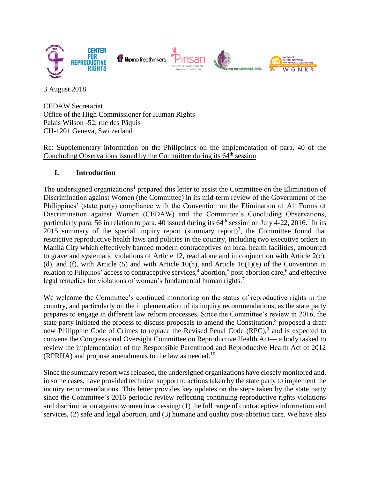

3 August 2018

CEDAW Secretariat Office of the High Commissioner for Human Rights Palais Wilson -52, rue des Pâquis CH-1201 Geneva, Switzerland

Re: Supplementary information on the Philippines on the implementation of para. 40 of the Concluding Observations issued by the Committee during its  $64<sup>th</sup>$  session

### **I. Introduction**

The undersigned organizations<sup>1</sup> prepared this letter to assist the Committee on the Elimination of Discrimination against Women (the Committee) in its mid-term review of the Government of the Philippines' (state party) compliance with the Convention on the Elimination of All Forms of Discrimination against Women (CEDAW) and the Committee's Concluding Observations, particularly para. 56 in relation to para. 40 issued during its  $64<sup>th</sup>$  session on July 4-22, 2016.<sup>2</sup> In its 2015 summary of the special inquiry report (summary report)<sup>3</sup>, the Committee found that restrictive reproductive health laws and policies in the country, including two executive orders in Manila City which effectively banned modern contraceptives on local health facilities, amounted to grave and systematic violations of Article 12, read alone and in conjunction with Article 2(c), (d), and (f), with Article (5) and with Article 10(h), and Article 16(1)(e) of the Convention in relation to Filipinos' access to contraceptive services,<sup>4</sup> abortion,<sup>5</sup> post-abortion care,<sup>6</sup> and effective legal remedies for violations of women's fundamental human rights.<sup>7</sup>

We welcome the Committee's continued monitoring on the status of reproductive rights in the country, and particularly on the implementation of its inquiry recommendations, as the state party prepares to engage in different law reform processes. Since the Committee's review in 2016, the state party initiated the process to discuss proposals to amend the Constitution,<sup>8</sup> proposed a draft new Philippine Code of Crimes to replace the Revised Penal Code (RPC),<sup>9</sup> and is expected to convene the Congressional Oversight Committee on Reproductive Health Act— a body tasked to review the implementation of the Responsible Parenthood and Reproductive Health Act of 2012 (RPRHA) and propose amendments to the law as needed.<sup>10</sup>

Since the summary report was released, the undersigned organizations have closely monitored and, in some cases, have provided technical support to actions taken by the state party to implement the inquiry recommendations. This letter provides key updates on the steps taken by the state party since the Committee's 2016 periodic review reflecting continuing reproductive rights violations and discrimination against women in accessing: (1) the full range of contraceptive information and services, (2) safe and legal abortion, and (3) humane and quality post-abortion care. We have also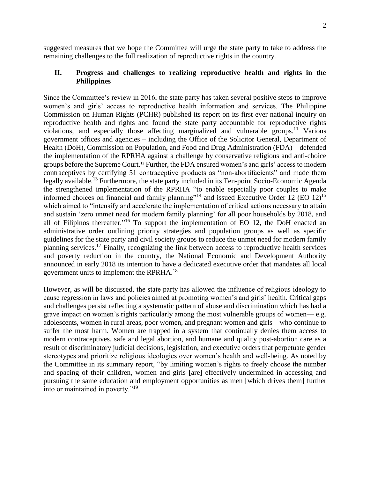suggested measures that we hope the Committee will urge the state party to take to address the remaining challenges to the full realization of reproductive rights in the country.

### **II. Progress and challenges to realizing reproductive health and rights in the Philippines**

Since the Committee's review in 2016, the state party has taken several positive steps to improve women's and girls' access to reproductive health information and services. The Philippine Commission on Human Rights (PCHR) published its report on its first ever national inquiry on reproductive health and rights and found the state party accountable for reproductive rights violations, and especially those affecting marginalized and vulnerable groups.<sup>11</sup> Various government offices and agencies – including the Office of the Solicitor General, Department of Health (DoH), Commission on Population, and Food and Drug Administration (FDA) – defended the implementation of the RPRHA against a challenge by conservative religious and anti-choice groups before the Supreme Court. <sup>12</sup> Further, the FDA ensured women's and girls' access to modern contraceptives by certifying 51 contraceptive products as "non-abortifacients" and made them legally available.<sup>13</sup> Furthermore, the state party included in its Ten-point Socio-Economic Agenda the strengthened implementation of the RPRHA "to enable especially poor couples to make informed choices on financial and family planning"<sup>14</sup> and issued Executive Order  $12$  (EO  $12$ )<sup>15</sup> which aimed to "intensify and accelerate the implementation of critical actions necessary to attain and sustain 'zero unmet need for modern family planning' for all poor households by 2018, and all of Filipinos thereafter."<sup>16</sup> To support the implementation of EO 12, the DoH enacted an administrative order outlining priority strategies and population groups as well as specific guidelines for the state party and civil society groups to reduce the unmet need for modern family planning services.<sup>17</sup> Finally, recognizing the link between access to reproductive health services and poverty reduction in the country, the National Economic and Development Authority announced in early 2018 its intention to have a dedicated executive order that mandates all local government units to implement the RPRHA.<sup>18</sup>

However, as will be discussed, the state party has allowed the influence of religious ideology to cause regression in laws and policies aimed at promoting women's and girls' health. Critical gaps and challenges persist reflecting a systematic pattern of abuse and discrimination which has had a grave impact on women's rights particularly among the most vulnerable groups of women— e.g. adolescents, women in rural areas, poor women, and pregnant women and girls—who continue to suffer the most harm. Women are trapped in a system that continually denies them access to modern contraceptives, safe and legal abortion, and humane and quality post-abortion care as a result of discriminatory judicial decisions, legislation, and executive orders that perpetuate gender stereotypes and prioritize religious ideologies over women's health and well-being. As noted by the Committee in its summary report, "by limiting women's rights to freely choose the number and spacing of their children, women and girls [are] effectively undermined in accessing and pursuing the same education and employment opportunities as men [which drives them] further into or maintained in poverty."<sup>19</sup>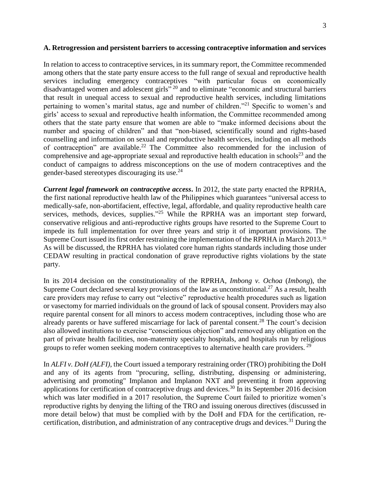#### **A. Retrogression and persistent barriers to accessing contraceptive information and services**

In relation to access to contraceptive services, in its summary report, the Committee recommended among others that the state party ensure access to the full range of sexual and reproductive health services including emergency contraceptives "with particular focus on economically disadvantaged women and adolescent girls<sup>" 20</sup> and to eliminate "economic and structural barriers that result in unequal access to sexual and reproductive health services, including limitations pertaining to women's marital status, age and number of children."<sup>21</sup> Specific to women's and girls' access to sexual and reproductive health information, the Committee recommended among others that the state party ensure that women are able to "make informed decisions about the number and spacing of children" and that "non-biased, scientifically sound and rights-based counselling and information on sexual and reproductive health services, including on all methods of contraception" are available.<sup>22</sup> The Committee also recommended for the inclusion of comprehensive and age-appropriate sexual and reproductive health education in schools<sup>23</sup> and the conduct of campaigns to address misconceptions on the use of modern contraceptives and the gender-based stereotypes discouraging its use.<sup>24</sup>

*Current legal framework on contraceptive access***.** In 2012, the state party enacted the RPRHA, the first national reproductive health law of the Philippines which guarantees "universal access to medically-safe, non-abortifacient, effective, legal, affordable, and quality reproductive health care services, methods, devices, supplies."<sup>25</sup> While the RPRHA was an important step forward, conservative religious and anti-reproductive rights groups have resorted to the Supreme Court to impede its full implementation for over three years and strip it of important provisions. The Supreme Court issued its first order restraining the implementation of the RPRHA in March 2013.<sup>26</sup> As will be discussed, the RPRHA has violated core human rights standards including those under CEDAW resulting in practical condonation of grave reproductive rights violations by the state party.

In its 2014 decision on the constitutionality of the RPRHA, *Imbong v. Ochoa* (*Imbong*), the Supreme Court declared several key provisions of the law as unconstitutional.<sup>27</sup> As a result, health care providers may refuse to carry out "elective" reproductive health procedures such as ligation or vasectomy for married individuals on the ground of lack of spousal consent. Providers may also require parental consent for all minors to access modern contraceptives, including those who are already parents or have suffered miscarriage for lack of parental consent.<sup>28</sup> The court's decision also allowed institutions to exercise "conscientious objection" and removed any obligation on the part of private health facilities, non-maternity specialty hospitals, and hospitals run by religious groups to refer women seeking modern contraceptives to alternative health care providers.<sup>29</sup>

In *ALFI v. DoH (ALFI)*, the Court issued a temporary restraining order (TRO) prohibiting the DoH and any of its agents from "procuring, selling, distributing, dispensing or administering, advertising and promoting" Implanon and Implanon NXT and preventing it from approving applications for certification of contraceptive drugs and devices.<sup>30</sup> In its September 2016 decision which was later modified in a 2017 resolution, the Supreme Court failed to prioritize women's reproductive rights by denying the lifting of the TRO and issuing onerous directives (discussed in more detail below) that must be complied with by the DoH and FDA for the certification, recertification, distribution, and administration of any contraceptive drugs and devices.<sup>31</sup> During the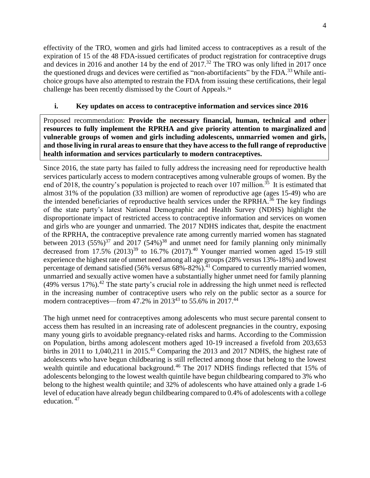effectivity of the TRO, women and girls had limited access to contraceptives as a result of the expiration of 15 of the 48 FDA-issued certificates of product registration for contraceptive drugs and devices in 2016 and another 14 by the end of 2017.<sup>32</sup> The TRO was only lifted in 2017 once the questioned drugs and devices were certified as "non-abortifacients" by the FDA.<sup>33</sup> While antichoice groups have also attempted to restrain the FDA from issuing these certifications, their legal challenge has been recently dismissed by the Court of Appeals. 34

### **i. Key updates on access to contraceptive information and services since 2016**

Proposed recommendation: **Provide the necessary financial, human, technical and other resources to fully implement the RPRHA and give priority attention to marginalized and vulnerable groups of women and girls including adolescents, unmarried women and girls, and those living in rural areas to ensure that they have access to the full range of reproductive health information and services particularly to modern contraceptives.**

Since 2016, the state party has failed to fully address the increasing need for reproductive health services particularly access to modern contraceptives among vulnerable groups of women. By the end of 2018, the country's population is projected to reach over 107 million.<sup>35</sup> It is estimated that almost 31% of the population (33 million) are women of reproductive age (ages 15-49) who are the intended beneficiaries of reproductive health services under the RPRHA.<sup>36</sup> The key findings of the state party's latest National Demographic and Health Survey (NDHS) highlight the disproportionate impact of restricted access to contraceptive information and services on women and girls who are younger and unmarried. The 2017 NDHS indicates that, despite the enactment of the RPRHA, the contraceptive prevalence rate among currently married women has stagnated between 2013 (55%)<sup>37</sup> and 2017 (54%)<sup>38</sup> and unmet need for family planning only minimally decreased from  $17.5\%$   $(2013)^{39}$  to  $16.7\%$   $(2017)^{40}$  Younger married women aged 15-19 still experience the highest rate of unmet need among all age groups (28% versus 13%-18%) and lowest percentage of demand satisfied (56% versus  $68\% - 82\%$ ).<sup>41</sup> Compared to currently married women, unmarried and sexually active women have a substantially higher unmet need for family planning  $(49\%$  versus 17%).<sup>42</sup> The state party's crucial role in addressing the high unmet need is reflected in the increasing number of contraceptive users who rely on the public sector as a source for modern contraceptives—from 47.2% in 2013<sup>43</sup> to 55.6% in 2017.<sup>44</sup>

The high unmet need for contraceptives among adolescents who must secure parental consent to access them has resulted in an increasing rate of adolescent pregnancies in the country, exposing many young girls to avoidable pregnancy-related risks and harms. According to the Commission on Population, births among adolescent mothers aged 10-19 increased a fivefold from 203,653 births in 2011 to  $1,040,211$  in 2015.<sup>45</sup> Comparing the 2013 and 2017 NDHS, the highest rate of adolescents who have begun childbearing is still reflected among those that belong to the lowest wealth quintile and educational background.<sup>46</sup> The 2017 NDHS findings reflected that 15% of adolescents belonging to the lowest wealth quintile have begun childbearing compared to 3% who belong to the highest wealth quintile; and 32% of adolescents who have attained only a grade 1-6 level of education have already begun childbearing compared to 0.4% of adolescents with a college education. <sup>47</sup>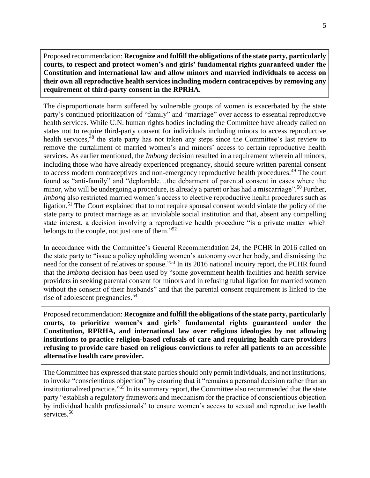Proposed recommendation: **Recognize and fulfill the obligations of the state party, particularly courts, to respect and protect women's and girls' fundamental rights guaranteed under the Constitution and international law and allow minors and married individuals to access on their own all reproductive health services including modern contraceptives by removing any requirement of third-party consent in the RPRHA.**

The disproportionate harm suffered by vulnerable groups of women is exacerbated by the state party's continued prioritization of "family" and "marriage" over access to essential reproductive health services. While U.N. human rights bodies including the Committee have already called on states not to require third-party consent for individuals including minors to access reproductive health services,<sup>48</sup> the state party has not taken any steps since the Committee's last review to remove the curtailment of married women's and minors' access to certain reproductive health services. As earlier mentioned, the *Imbong* decision resulted in a requirement wherein all minors, including those who have already experienced pregnancy, should secure written parental consent to access modern contraceptives and non-emergency reproductive health procedures.<sup>49</sup> The court found as "anti-family" and "deplorable…the debarment of parental consent in cases where the minor, who will be undergoing a procedure, is already a parent or has had a miscarriage".<sup>50</sup> Further, *Imbong* also restricted married women's access to elective reproductive health procedures such as ligation.<sup>51</sup> The Court explained that to not require spousal consent would violate the policy of the state party to protect marriage as an inviolable social institution and that, absent any compelling state interest, a decision involving a reproductive health procedure "is a private matter which belongs to the couple, not just one of them."<sup>52</sup>

In accordance with the Committee's General Recommendation 24, the PCHR in 2016 called on the state party to "issue a policy upholding women's autonomy over her body, and dismissing the need for the consent of relatives or spouse."<sup>53</sup> In its 2016 national inquiry report, the PCHR found that the *Imbong* decision has been used by "some government health facilities and health service providers in seeking parental consent for minors and in refusing tubal ligation for married women without the consent of their husbands" and that the parental consent requirement is linked to the rise of adolescent pregnancies.<sup>54</sup>

Proposed recommendation: **Recognize and fulfill the obligations of the state party, particularly courts, to prioritize women's and girls' fundamental rights guaranteed under the Constitution, RPRHA, and international law over religious ideologies by not allowing institutions to practice religion-based refusals of care and requiring health care providers refusing to provide care based on religious convictions to refer all patients to an accessible alternative health care provider.**

The Committee has expressed that state parties should only permit individuals, and not institutions, to invoke "conscientious objection" by ensuring that it "remains a personal decision rather than an institutionalized practice." <sup>55</sup> In its summary report, the Committee also recommended that the state party "establish a regulatory framework and mechanism for the practice of conscientious objection by individual health professionals" to ensure women's access to sexual and reproductive health services.<sup>56</sup>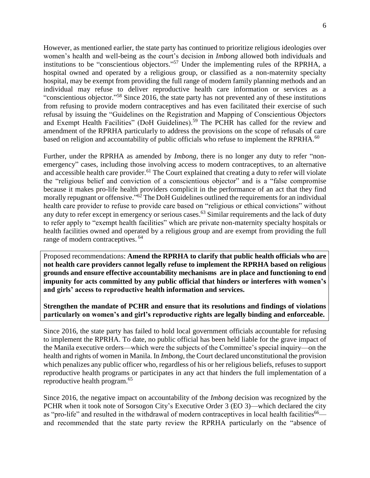However, as mentioned earlier, the state party has continued to prioritize religious ideologies over women's health and well-being as the court's decision in *Imbong* allowed both individuals and institutions to be "conscientious objectors." <sup>57</sup> Under the implementing rules of the RPRHA, a hospital owned and operated by a religious group, or classified as a non-maternity specialty hospital, may be exempt from providing the full range of modern family planning methods and an individual may refuse to deliver reproductive health care information or services as a "conscientious objector."<sup>58</sup> Since 2016, the state party has not prevented any of these institutions from refusing to provide modern contraceptives and has even facilitated their exercise of such refusal by issuing the "Guidelines on the Registration and Mapping of Conscientious Objectors and Exempt Health Facilities" (DoH Guidelines).<sup>59</sup> The PCHR has called for the review and amendment of the RPRHA particularly to address the provisions on the scope of refusals of care based on religion and accountability of public officials who refuse to implement the RPRHA.<sup>60</sup>

Further, under the RPRHA as amended by *Imbong*, there is no longer any duty to refer "nonemergency" cases, including those involving access to modern contraceptives, to an alternative and accessible health care provider.<sup>61</sup> The Court explained that creating a duty to refer will violate the "religious belief and conviction of a conscientious objector" and is a "false compromise because it makes pro-life health providers complicit in the performance of an act that they find morally repugnant or offensive."<sup>62</sup> The DoH Guidelines outlined the requirements for an individual health care provider to refuse to provide care based on "religious or ethical convictions" without any duty to refer except in emergency or serious cases.<sup>63</sup> Similar requirements and the lack of duty to refer apply to "exempt health facilities" which are private non-maternity specialty hospitals or health facilities owned and operated by a religious group and are exempt from providing the full range of modern contraceptives. <sup>64</sup>

Proposed recommendations: **Amend the RPRHA to clarify that public health officials who are not health care providers cannot legally refuse to implement the RPRHA based on religious grounds and ensure effective accountability mechanisms are in place and functioning to end impunity for acts committed by any public official that hinders or interferes with women's and girls' access to reproductive health information and services.**

**Strengthen the mandate of PCHR and ensure that its resolutions and findings of violations particularly on women's and girl's reproductive rights are legally binding and enforceable.**

Since 2016, the state party has failed to hold local government officials accountable for refusing to implement the RPRHA. To date, no public official has been held liable for the grave impact of the Manila executive orders—which were the subjects of the Committee's special inquiry—on the health and rights of women in Manila. In *Imbong*, the Court declared unconstitutional the provision which penalizes any public officer who, regardless of his or her religious beliefs, refuses to support reproductive health programs or participates in any act that hinders the full implementation of a reproductive health program.<sup>65</sup>

Since 2016, the negative impact on accountability of the *Imbong* decision was recognized by the PCHR when it took note of Sorsogon City's Executive Order 3 (EO 3)—which declared the city as "pro-life" and resulted in the withdrawal of modern contraceptives in local health facilities<sup>66</sup> and recommended that the state party review the RPRHA particularly on the "absence of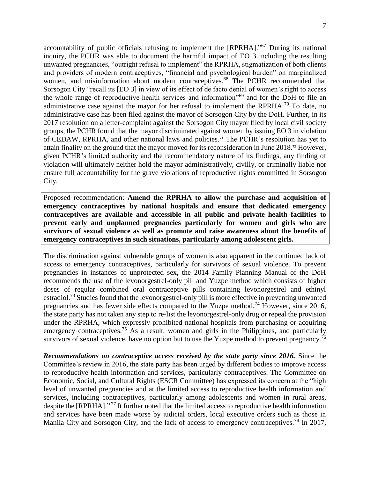accountability of public officials refusing to implement the [RPRHA]."<sup>67</sup> During its national inquiry, the PCHR was able to document the harmful impact of EO 3 including the resulting unwanted pregnancies, "outright refusal to implement" the RPRHA, stigmatization of both clients and providers of modern contraceptives, "financial and psychological burden" on marginalized women, and misinformation about modern contraceptives.<sup>68</sup> The PCHR recommended that Sorsogon City "recall its [EO 3] in view of its effect of de facto denial of women's right to access the whole range of reproductive health services and information"<sup>69</sup> and for the DoH to file an administrative case against the mayor for her refusal to implement the RPRHA.<sup>70</sup> To date, no administrative case has been filed against the mayor of Sorsogon City by the DoH. Further, in its 2017 resolution on a letter-complaint against the Sorsogon City mayor filed by local civil society groups, the PCHR found that the mayor discriminated against women by issuing EO 3 in violation of CEDAW, RPRHA, and other national laws and policies.<sup>71</sup> The PCHR's resolution has yet to attain finality on the ground that the mayor moved for its reconsideration in June 2018.<sup>72</sup> However, given PCHR's limited authority and the recommendatory nature of its findings, any finding of violation will ultimately neither hold the mayor administratively, civilly, or criminally liable nor ensure full accountability for the grave violations of reproductive rights committed in Sorsogon City.

Proposed recommendation: **Amend the RPRHA to allow the purchase and acquisition of emergency contraceptives by national hospitals and ensure that dedicated emergency contraceptives are available and accessible in all public and private health facilities to prevent early and unplanned pregnancies particularly for women and girls who are survivors of sexual violence as well as promote and raise awareness about the benefits of emergency contraceptives in such situations, particularly among adolescent girls.**

The discrimination against vulnerable groups of women is also apparent in the continued lack of access to emergency contraceptives, particularly for survivors of sexual violence. To prevent pregnancies in instances of unprotected sex, the 2014 Family Planning Manual of the DoH recommends the use of the levonorgestrel-only pill and Yuzpe method which consists of higher doses of regular combined oral contraceptive pills containing levonorgestrel and ethinyl estradiol.<sup>73</sup> Studies found that the levonorgestrel-only pill is more effective in preventing unwanted pregnancies and has fewer side effects compared to the Yuzpe method.<sup>74</sup> However, since 2016, the state party has not taken any step to re-list the levonorgestrel-only drug or repeal the provision under the RPRHA, which expressly prohibited national hospitals from purchasing or acquiring emergency contraceptives.<sup>75</sup> As a result, women and girls in the Philippines, and particularly survivors of sexual violence, have no option but to use the Yuzpe method to prevent pregnancy.<sup>76</sup>

*Recommendations on contraceptive access received by the state party since 2016.* Since the Committee's review in 2016, the state party has been urged by different bodies to improve access to reproductive health information and services, particularly contraceptives. The Committee on Economic, Social, and Cultural Rights (ESCR Committee) has expressed its concern at the "high level of unwanted pregnancies and at the limited access to reproductive health information and services, including contraceptives, particularly among adolescents and women in rural areas, despite the [RPRHA]."<sup>77</sup> It further noted that the limited access to reproductive health information and services have been made worse by judicial orders, local executive orders such as those in Manila City and Sorsogon City, and the lack of access to emergency contraceptives.<sup>78</sup> In 2017,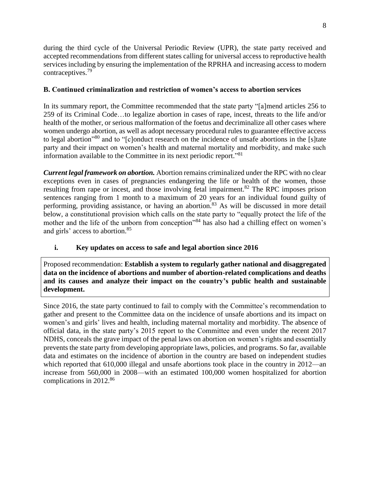during the third cycle of the Universal Periodic Review (UPR), the state party received and accepted recommendations from different states calling for universal access to reproductive health services including by ensuring the implementation of the RPRHA and increasing access to modern contraceptives.<sup>79</sup>

# **B. Continued criminalization and restriction of women's access to abortion services**

In its summary report, the Committee recommended that the state party "[a]mend articles 256 to 259 of its Criminal Code…to legalize abortion in cases of rape, incest, threats to the life and/or health of the mother, or serious malformation of the foetus and decriminalize all other cases where women undergo abortion, as well as adopt necessary procedural rules to guarantee effective access to legal abortion"<sup>80</sup> and to "[c]onduct research on the incidence of unsafe abortions in the [s]tate party and their impact on women's health and maternal mortality and morbidity, and make such information available to the Committee in its next periodic report."<sup>81</sup>

*Current legal framework on abortion.* Abortion remains criminalized under the RPC with no clear exceptions even in cases of pregnancies endangering the life or health of the women, those resulting from rape or incest, and those involving fetal impairment.<sup>82</sup> The RPC imposes prison sentences ranging from 1 month to a maximum of 20 years for an individual found guilty of performing, providing assistance, or having an abortion.<sup>83</sup> As will be discussed in more detail below, a constitutional provision which calls on the state party to "equally protect the life of the mother and the life of the unborn from conception"<sup>84</sup> has also had a chilling effect on women's and girls' access to abortion.<sup>85</sup>

# **i. Key updates on access to safe and legal abortion since 2016**

Proposed recommendation: **Establish a system to regularly gather national and disaggregated data on the incidence of abortions and number of abortion-related complications and deaths and its causes and analyze their impact on the country's public health and sustainable development.**

Since 2016, the state party continued to fail to comply with the Committee's recommendation to gather and present to the Committee data on the incidence of unsafe abortions and its impact on women's and girls' lives and health, including maternal mortality and morbidity. The absence of official data, in the state party's 2015 report to the Committee and even under the recent 2017 NDHS, conceals the grave impact of the penal laws on abortion on women's rights and essentially prevents the state party from developing appropriate laws, policies, and programs. So far, available data and estimates on the incidence of abortion in the country are based on independent studies which reported that 610,000 illegal and unsafe abortions took place in the country in 2012—an increase from 560,000 in 2008—with an estimated 100,000 women hospitalized for abortion complications in 2012.<sup>86</sup>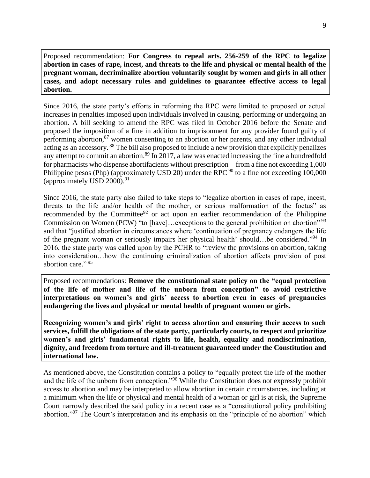Proposed recommendation: **For Congress to repeal arts. 256-259 of the RPC to legalize abortion in cases of rape, incest, and threats to the life and physical or mental health of the pregnant woman, decriminalize abortion voluntarily sought by women and girls in all other cases, and adopt necessary rules and guidelines to guarantee effective access to legal abortion.**

Since 2016, the state party's efforts in reforming the RPC were limited to proposed or actual increases in penalties imposed upon individuals involved in causing, performing or undergoing an abortion. A bill seeking to amend the RPC was filed in October 2016 before the Senate and proposed the imposition of a fine in addition to imprisonment for any provider found guilty of performing abortion,<sup>87</sup> women consenting to an abortion or her parents, and any other individual acting as an accessory. <sup>88</sup> The bill also proposed to include a new provision that explicitly penalizes any attempt to commit an abortion.<sup>89</sup> In 2017, a law was enacted increasing the fine a hundredfold for pharmacists who dispense abortifacients without prescription—from a fine not exceeding 1,000 Philippine pesos (Php) (approximately USD 20) under the RPC  $90$  to a fine not exceeding 100,000 (approximately USD 2000). $91$ 

Since 2016, the state party also failed to take steps to "legalize abortion in cases of rape, incest, threats to the life and/or health of the mother, or serious malformation of the foetus" as recommended by the Committee<sup>92</sup> or act upon an earlier recommendation of the Philippine Commission on Women (PCW) "to [have]...exceptions to the general prohibition on abortion"<sup>93</sup> and that "justified abortion in circumstances where 'continuation of pregnancy endangers the life of the pregnant woman or seriously impairs her physical health' should…be considered."<sup>94</sup> In 2016, the state party was called upon by the PCHR to "review the provisions on abortion, taking into consideration…how the continuing criminalization of abortion affects provision of post abortion care." 95

Proposed recommendations: **Remove the constitutional state policy on the "equal protection of the life of mother and life of the unborn from conception" to avoid restrictive interpretations on women's and girls' access to abortion even in cases of pregnancies endangering the lives and physical or mental health of pregnant women or girls.**

**Recognizing women's and girls' right to access abortion and ensuring their access to such services, fulfill the obligations of the state party, particularly courts, to respect and prioritize women's and girls' fundamental rights to life, health, equality and nondiscrimination, dignity, and freedom from torture and ill-treatment guaranteed under the Constitution and international law.**

As mentioned above, the Constitution contains a policy to "equally protect the life of the mother and the life of the unborn from conception."<sup>96</sup> While the Constitution does not expressly prohibit access to abortion and may be interpreted to allow abortion in certain circumstances, including at a minimum when the life or physical and mental health of a woman or girl is at risk, the Supreme Court narrowly described the said policy in a recent case as a "constitutional policy prohibiting abortion."<sup>97</sup> The Court's interpretation and its emphasis on the "principle of no abortion" which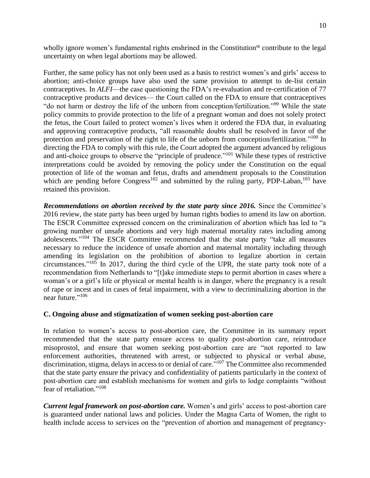wholly ignore women's fundamental rights enshrined in the Constitution<sup>98</sup> contribute to the legal uncertainty on when legal abortions may be allowed.

Further, the same policy has not only been used as a basis to restrict women's and girls' access to abortion; anti-choice groups have also used the same provision to attempt to de-list certain contraceptives. In *ALFI*—the case questioning the FDA's re-evaluation and re-certification of 77 contraceptive products and devices— the Court called on the FDA to ensure that contraceptives "do not harm or destroy the life of the unborn from conception/fertilization."<sup>99</sup> While the state policy commits to provide protection to the life of a pregnant woman and does not solely protect the fetus, the Court failed to protect women's lives when it ordered the FDA that, in evaluating and approving contraceptive products, "all reasonable doubts shall be resolved in favor of the protection and preservation of the right to life of the unborn from conception/fertilization."<sup>100</sup> In directing the FDA to comply with this rule, the Court adopted the argument advanced by religious and anti-choice groups to observe the "principle of prudence."<sup>101</sup> While these types of restrictive interpretations could be avoided by removing the policy under the Constitution on the equal protection of life of the woman and fetus, drafts and amendment proposals to the Constitution which are pending before Congress<sup>102</sup> and submitted by the ruling party, PDP-Laban,  $^{103}$  have retained this provision.

*Recommendations on abortion received by the state party since 2016.* Since the Committee's 2016 review, the state party has been urged by human rights bodies to amend its law on abortion. The ESCR Committee expressed concern on the criminalization of abortion which has led to "a growing number of unsafe abortions and very high maternal mortality rates including among adolescents."<sup>104</sup> The ESCR Committee recommended that the state party "take all measures necessary to reduce the incidence of unsafe abortion and maternal mortality including through amending its legislation on the prohibition of abortion to legalize abortion in certain circumstances." <sup>105</sup> In 2017, during the third cycle of the UPR, the state party took note of a recommendation from Netherlands to "[t]ake immediate steps to permit abortion in cases where a woman's or a girl's life or physical or mental health is in danger, where the pregnancy is a result of rape or incest and in cases of fetal impairment, with a view to decriminalizing abortion in the near future."<sup>106</sup>

#### **C. Ongoing abuse and stigmatization of women seeking post-abortion care**

In relation to women's access to post-abortion care, the Committee in its summary report recommended that the state party ensure access to quality post-abortion care, reintroduce misoprostol, and ensure that women seeking post-abortion care are "not reported to law enforcement authorities, threatened with arrest, or subjected to physical or verbal abuse, discrimination, stigma, delays in access to or denial of care."<sup>107</sup> The Committee also recommended that the state party ensure the privacy and confidentiality of patients particularly in the context of post-abortion care and establish mechanisms for women and girls to lodge complaints "without fear of retaliation."<sup>108</sup>

*Current legal framework on post-abortion care.* Women's and girls' access to post-abortion care is guaranteed under national laws and policies. Under the Magna Carta of Women, the right to health include access to services on the "prevention of abortion and management of pregnancy-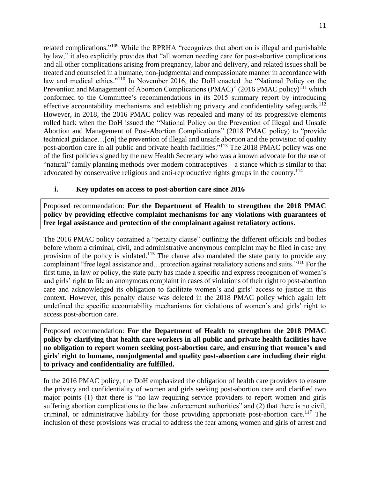related complications."<sup>109</sup> While the RPRHA "recognizes that abortion is illegal and punishable by law," it also explicitly provides that "all women needing care for post-abortive complications and all other complications arising from pregnancy, labor and delivery, and related issues shall be treated and counseled in a humane, non-judgmental and compassionate manner in accordance with law and medical ethics."<sup>110</sup> In November 2016, the DoH enacted the "National Policy on the Prevention and Management of Abortion Complications (PMAC)" (2016 PMAC policy)<sup>111</sup> which conformed to the Committee's recommendations in its 2015 summary report by introducing effective accountability mechanisms and establishing privacy and confidentiality safeguards.<sup>112</sup> However, in 2018, the 2016 PMAC policy was repealed and many of its progressive elements rolled back when the DoH issued the "National Policy on the Prevention of Illegal and Unsafe Abortion and Management of Post-Abortion Complications" (2018 PMAC policy) to "provide technical guidance…[on] the prevention of illegal and unsafe abortion and the provision of quality post-abortion care in all public and private health facilities."<sup>113</sup> The 2018 PMAC policy was one of the first policies signed by the new Health Secretary who was a known advocate for the use of "natural" family planning methods over modern contraceptives—a stance which is similar to that advocated by conservative religious and anti-reproductive rights groups in the country.<sup>114</sup>

# **i. Key updates on access to post-abortion care since 2016**

Proposed recommendation: **For the Department of Health to strengthen the 2018 PMAC policy by providing effective complaint mechanisms for any violations with guarantees of free legal assistance and protection of the complainant against retaliatory actions.**

The 2016 PMAC policy contained a "penalty clause" outlining the different officials and bodies before whom a criminal, civil, and administrative anonymous complaint may be filed in case any provision of the policy is violated.<sup>115</sup> The clause also mandated the state party to provide any complainant "free legal assistance and...protection against retaliatory actions and suits."<sup>116</sup> For the first time, in law or policy, the state party has made a specific and express recognition of women's and girls' right to file an anonymous complaint in cases of violations of their right to post-abortion care and acknowledged its obligation to facilitate women's and girls' access to justice in this context. However, this penalty clause was deleted in the 2018 PMAC policy which again left undefined the specific accountability mechanisms for violations of women's and girls' right to access post-abortion care.

Proposed recommendation: **For the Department of Health to strengthen the 2018 PMAC policy by clarifying that health care workers in all public and private health facilities have no obligation to report women seeking post-abortion care, and ensuring that women's and girls' right to humane, nonjudgmental and quality post-abortion care including their right to privacy and confidentiality are fulfilled.**

In the 2016 PMAC policy, the DoH emphasized the obligation of health care providers to ensure the privacy and confidentiality of women and girls seeking post-abortion care and clarified two major points (1) that there is "no law requiring service providers to report women and girls suffering abortion complications to the law enforcement authorities" and (2) that there is no civil, criminal, or administrative liability for those providing appropriate post-abortion care.<sup>117</sup> The inclusion of these provisions was crucial to address the fear among women and girls of arrest and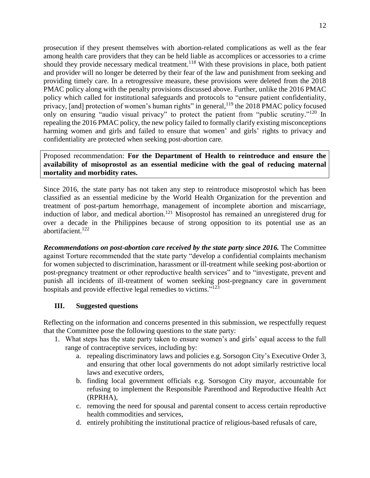prosecution if they present themselves with abortion-related complications as well as the fear among health care providers that they can be held liable as accomplices or accessories to a crime should they provide necessary medical treatment.<sup>118</sup> With these provisions in place, both patient and provider will no longer be deterred by their fear of the law and punishment from seeking and providing timely care. In a retrogressive measure, these provisions were deleted from the 2018 PMAC policy along with the penalty provisions discussed above. Further, unlike the 2016 PMAC policy which called for institutional safeguards and protocols to "ensure patient confidentiality, privacy, [and] protection of women's human rights" in general,<sup>119</sup> the 2018 PMAC policy focused only on ensuring "audio visual privacy" to protect the patient from "public scrutiny."<sup>120</sup> In repealing the 2016 PMAC policy, the new policy failed to formally clarify existing misconceptions harming women and girls and failed to ensure that women' and girls' rights to privacy and confidentiality are protected when seeking post-abortion care.

Proposed recommendation: **For the Department of Health to reintroduce and ensure the availability of misoprostol as an essential medicine with the goal of reducing maternal mortality and morbidity rates.**

Since 2016*,* the state party has not taken any step to reintroduce misoprostol which has been classified as an essential medicine by the World Health Organization for the prevention and treatment of post-partum hemorrhage, management of incomplete abortion and miscarriage, induction of labor, and medical abortion.<sup>121</sup> Misoprostol has remained an unregistered drug for over a decade in the Philippines because of strong opposition to its potential use as an abortifacient.<sup>122</sup>

*Recommendations on post-abortion care received by the state party since 2016.* The Committee against Torture recommended that the state party "develop a confidential complaints mechanism for women subjected to discrimination, harassment or ill-treatment while seeking post-abortion or post-pregnancy treatment or other reproductive health services" and to "investigate, prevent and punish all incidents of ill-treatment of women seeking post-pregnancy care in government hospitals and provide effective legal remedies to victims."<sup>123</sup>

### **III. Suggested questions**

Reflecting on the information and concerns presented in this submission, we respectfully request that the Committee pose the following questions to the state party:

- 1. What steps has the state party taken to ensure women's and girls' equal access to the full range of contraceptive services, including by:
	- a. repealing discriminatory laws and policies e.g. Sorsogon City's Executive Order 3, and ensuring that other local governments do not adopt similarly restrictive local laws and executive orders,
	- b. finding local government officials e.g. Sorsogon City mayor, accountable for refusing to implement the Responsible Parenthood and Reproductive Health Act (RPRHA),
	- c. removing the need for spousal and parental consent to access certain reproductive health commodities and services,
	- d. entirely prohibiting the institutional practice of religious-based refusals of care,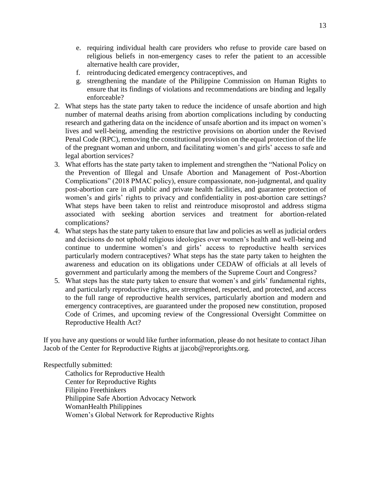- e. requiring individual health care providers who refuse to provide care based on religious beliefs in non-emergency cases to refer the patient to an accessible alternative health care provider,
- f. reintroducing dedicated emergency contraceptives, and
- g. strengthening the mandate of the Philippine Commission on Human Rights to ensure that its findings of violations and recommendations are binding and legally enforceable?
- 2. What steps has the state party taken to reduce the incidence of unsafe abortion and high number of maternal deaths arising from abortion complications including by conducting research and gathering data on the incidence of unsafe abortion and its impact on women's lives and well-being, amending the restrictive provisions on abortion under the Revised Penal Code (RPC), removing the constitutional provision on the equal protection of the life of the pregnant woman and unborn, and facilitating women's and girls' access to safe and legal abortion services?
- 3. What efforts has the state party taken to implement and strengthen the "National Policy on the Prevention of Illegal and Unsafe Abortion and Management of Post-Abortion Complications" (2018 PMAC policy), ensure compassionate, non-judgmental, and quality post-abortion care in all public and private health facilities, and guarantee protection of women's and girls' rights to privacy and confidentiality in post-abortion care settings? What steps have been taken to relist and reintroduce misoprostol and address stigma associated with seeking abortion services and treatment for abortion-related complications?
- 4. What steps has the state party taken to ensure that law and policies as well as judicial orders and decisions do not uphold religious ideologies over women's health and well-being and continue to undermine women's and girls' access to reproductive health services particularly modern contraceptives? What steps has the state party taken to heighten the awareness and education on its obligations under CEDAW of officials at all levels of government and particularly among the members of the Supreme Court and Congress?
- 5. What steps has the state party taken to ensure that women's and girls' fundamental rights, and particularly reproductive rights, are strengthened, respected, and protected, and access to the full range of reproductive health services, particularly abortion and modern and emergency contraceptives, are guaranteed under the proposed new constitution, proposed Code of Crimes, and upcoming review of the Congressional Oversight Committee on Reproductive Health Act?

If you have any questions or would like further information, please do not hesitate to contact Jihan Jacob of the Center for Reproductive Rights at jjacob@reprorights.org.

Respectfully submitted:

Catholics for Reproductive Health Center for Reproductive Rights Filipino Freethinkers Philippine Safe Abortion Advocacy Network WomanHealth Philippines Women's Global Network for Reproductive Rights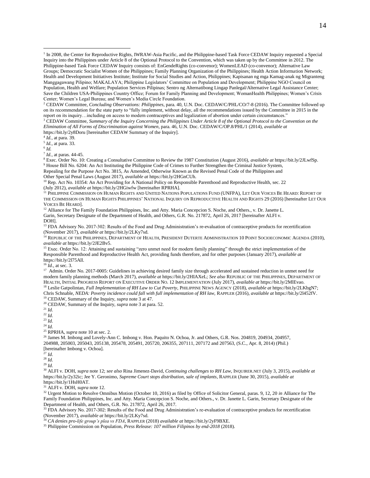<sup>2</sup> CEDAW Committee, *Concluding Observations: Philippines*, para. 40, U.N. Doc. CEDAW/C/PHL/CO/7-8 (2016). The Committee followed up on its recommendation for the state party to "fully implement, without delay, all the recommendations issued by the Committee in 2015 in the report on its inquiry…including on access to modern contraceptives and legalization of abortion under certain circumstances."

<sup>3</sup> CEDAW Committee, *Summary of the Inquiry Concerning the Philippines Under Article 8 of the Optional Protocol to the Convention on the Elimination of All Forms of Discrimination against Women*, para. 46, U.N. Doc. CEDAW/C/OP.8/PHL/1 (2014), *available at* https://bit.ly/2y8Doru [hereinafter CEDAW Summary of the Inquiry].

4 *Id.,* at para. 39.

5 *Id.,* at para. 33.

6 *Id.*

 $\overline{a}$ 

7 *Id.,* at paras. 44-45.

<sup>8</sup> Exec. Order No. 10: Creating a Consultative Committee to Review the 1987 Constitution (August 2016), *available at* https://bit.ly/2JLwfSp. <sup>9</sup> House Bill No. 6204: An Act Instituting the Philippine Code of Crimes to Further Strengthen the Criminal Justice System,

Repealing for the Purpose Act No. 3815, As Amended, Otherwise Known as the Revised Penal Code of the Philippines and Other Special Penal Laws (August 2017), *available at* https://bit.ly/2HGnCUh.

<sup>10</sup> Rep. Act No. 10354: An Act Providing for A National Policy on Responsible Parenthood and Reproductive Health, sec. 22 (July 2012), *available at* <https://bit.ly/2HGiwfw> [hereinafter RPRHA].

<sup>11</sup> PHILIPPINE COMMISSION ON HUMAN RIGHTS AND UNITED NATIONS POPULATIONS FUND (UNFPA), LET OUR VOICES BE HEARD: REPORT OF THE COMMISSION ON HUMAN RIGHTS PHILIPPINES' NATIONAL INQUIRY ON REPRODUCTIVE HEALTH AND RIGHTS 29 (2016) [hereinafter LET OUR VOICES BE HEARD].

<sup>12</sup> Alliance for The Family Foundation Philippines, Inc. and Atty. Maria Concepcion S. Noche, and Others., v. Dr. Janette L. Garin, Secretary Designate of the Department of Health, and Others, G.R. No. 217872, April 26, 2017 [hereinafter ALFI v. DOH].

<sup>13</sup> FDA Advisory No. 2017-302: Results of the Food and Drug Administration's re-evaluation of contraceptive products for recertification (November 2017), *available at* https://bit.ly/2LKy7sd.

<sup>14</sup> REPUBLIC OF THE PHILIPPINES, DEPARTMENT OF HEALTH, PRESIDENT DUTERTE ADMINISTRATION 10 POINT SOCIOECONOMIC AGENDA (2010), *available at* https://bit.ly/2JE2Bv5.

<sup>15</sup> Exec. Order No. 12: Attaining and sustaining "zero unmet need for modern family planning" through the strict implementation of the Responsible Parenthood and Reproductive Health Act, providing funds therefore, and for other purposes (January 2017), *available at* https://bit.ly/2l75All.

<sup>16</sup> *Id.,* at sec. 3.

<sup>17</sup> Admin. Order No. 2017-0005: Guidelines in achieving desired family size through accelerated and sustained reduction in unmet need for modern family planning methods (March 2017), *available at* https://bit.ly/2HIAXeL; *See also* REPUBLIC OF THE PHILIPPINES, DEPARTMENT OF HEALTH, INITIAL PROGRESS REPORT ON EXECUTIVE ORDER NO. 12 IMPLEMENTATION (July 2017), *available at* https://bit.ly/2MlEvao. <sup>18</sup> Leslie Gatpolintan, *Full Implementation of RH Law to Cut Poverty*, PHILIPPINE NEWS AGENCY (2018), *available at* [https://bit.ly/2LKbgN7;](https://bit.ly/2LKbgN7)  Chris Schnable, *NEDA: Poverty incidence could fall with full implementation of RH law,* RAPPLER (2016), *available at* https://bit.ly/2l452fV. <sup>19</sup> CEDAW, Summary of the Inquiry, *supra* note 3 at 47.

<sup>20</sup> CEDAW, Summary of the Inquiry, *supra* note 3 at para. 52.

<sup>21</sup> *Id.*

<sup>22</sup> *Id.*

<sup>23</sup> *Id.*

<sup>24</sup> *Id.*

<sup>25</sup> RPRHA, *supra* note 10 at sec. 2.

<sup>26</sup> James M. Imbong and Lovely-Ann C. Imbong v. Hon. Paquito N. Ochoa, Jr. and Others, G.R. Nos. 204819, 204934, 204957, 204988, 205003, 205043, 205138, 205478, 205491, 205720, 206355, 207111, 207172 and 207563, (S.C., Apr. 8, 2014) (Phil.) [hereinafter Imbong v. Ochoa].

<sup>27</sup> *Id.*

<sup>28</sup> *Id.*

<sup>29</sup> *Id.*

<sup>30</sup> ALFI v. DOH, *supra* note 12; *see also* Rina Jimenez-David, *Continuing challenges to RH Law*, INQUIRER.NET (July 3, 2015), *available at*  https://bit.ly/2y32ic; Jee Y. Geronimo, *Supreme Court stops distribution, sale of implants*, RAPPLER (June 30, 2015), *available at* https://bit.ly/1HsH0AT.

<sup>31</sup> ALFI v. DOH, *supra* note 12.

<sup>32</sup> Urgent Motion to Resolve Omnibus Motion (October 10, 2016) as filed by Office of Solicitor General, paras. 9, 12, 20 *in* Alliance for The Family Foundation Philippines, Inc. and Atty. Maria Concepcion S. Noche, and Others., v. Dr. Janette L. Garin, Secretary Designate of the Department of Health, and Others, G.R. No. 217872, April 26, 2017.

<sup>33</sup> FDA Advisory No. 2017-302: Results of the Food and Drug Administration's re-evaluation of contraceptive products for recertification (November 2017), *available at* https://bit.ly/2LKy7sd.

<sup>34</sup> *CA denies pro-life group's plea vs FDA*, RAPPLER (2018) *available at* https://bit.ly/2yF9BXE.

<sup>35</sup> Philippine Commission on Population, *Press Release: 107 million Filipinos by end-2018* (2018).

<sup>&</sup>lt;sup>1</sup> In 2008, the Center for Reproductive Rights, IWRAW-Asia Pacific, and the Philippine-based Task Force CEDAW Inquiry requested a Special Inquiry into the Philippines under Article 8 of the Optional Protocol to the Convention, which was taken up by the Committee in 2012. The Philippine-based Task Force CEDAW Inquiry consists of: EnGendeRights (co-convenor); WomenLEAD (co-convenor); Alternative Law Groups; Democratic Socialist Women of the Philippines; Family Planning Organization of the Philippines; Health Action Information Network; Health and Development Initiatives Institute; Institute for Social Studies and Action, Philippines; Kapisanan ng mga Kamag-anak ng Migranteng Manggagawang Pilipino; MAKALAYA; Philippine Legislators' Committee on Population and Development; Philippine NGO Council on Population, Health and Welfare; Population Services Pilipinas; Sentro ng Alternatibong Lingap Panlegal/Alternative Legal Assistance Center; Save the Children USA-Philippines Country Office; Forum for Family Planning and Development; WomanHealth Philippines; Women's Crisis Center; Women's Legal Bureau; and Women's Media Circle Foundation.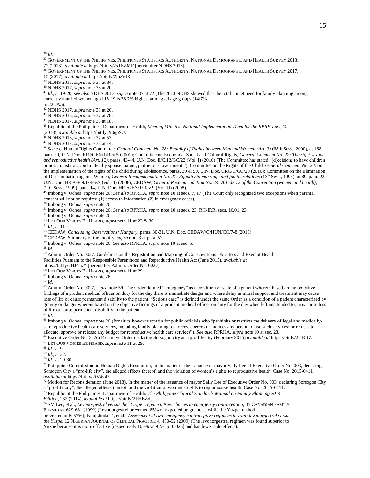$\overline{a}$ <sup>36</sup> *Id.*

<sup>39</sup> NDHS 2013, *supra* note 37 at 84.

<sup>40</sup> NDHS 2017, *supra* note 38 at 20.

<sup>41</sup> *Id.,* at 19-20; *see also* NDHS 2013, *supra* note 37 at 72 (The 2013 NDHS showed that the total unmet need for family planning among currently married women aged 15-19 is 28.7% highest among all age groups (14/7%

to 22.2%)).

<sup>42</sup> NDHS 2017, *supra* note 38 at 20.

<sup>43</sup> NDHS 2013, *supra* note 37 at 78.

<sup>44</sup> NDHS 2017, *supra* note 38 at 18.

<sup>45</sup> Republic of the Philippines, Department of Health, *Meeting Minutes: National Implementation Team for the RPRH Law*, 12 (2018), *available at* https://bit.ly/2t0qpSU.

<sup>46</sup> NDHS 2013, *supra* note 37 at 53.

<sup>47</sup> NDHS 2017, *supra* note 38 at 14.

<sup>48</sup> *See e.g.* Human Rights Committee, *General Comment No. 28: Equality of Rights between Men and Women (Art. 3)* (68th Sess., 2000), at 168, para. 20, U.N. Doc. HRI/GEN/1/Rev.5 (2001); Committee on Economic, Social and Cultural Rights, *General Comment No. 22: The right sexual and reproductive health (Art. 12),* paras. 43-44, U.N. Doc. E/C.12/GC/22 (Vol. I) (2016) (The Committee has stated "[d]ecisions to have children or not…must not…be limited by spouse, parent, partner or Government."); Committee on the Rights of the Child, *General Comment No. 20*: on the implementation of the rights of the child during adolescence, paras. 39 & 59, U.N. Doc. CRC/C/GC/20 (2016); Committee on the Elimination of Discrimination against Women, *General Recommendation No. 21: Equality in marriage and family relations* (13<sup>th</sup> Sess., 1994), at 89, para. 22, U.N. Doc. HRI/GEN/1/Rev.9 (vol. II) (2008); CEDAW, *General Recommendation No. 24: Article 12 of the Convention (women and health)*, (20th Sess., 1999), para. 14, U.N. Doc. HRI/GEN/1/Rev.9 (Vol. II) (2008).

<sup>49</sup> Imbong v. Ochoa, *supra* note 26; *See also* RPRHA, *supra* note 10 at secs. 7, 17 (The Court only recognized two exceptions when parental consent will not be required (1) access to information (2) in emergency cases).

<sup>50</sup> Imbong v. Ochoa, *supra* note 26.

<sup>51</sup> Imbong v. Ochoa, *supra* note 26; *See also* RPRHA, *supra* note 10 at secs. 23; RH-IRR, secs. 16.01, 23

<sup>52</sup> Imbong v. Ochoa, *supra* note 26.

<sup>53</sup> LET OUR VOICES BE HEARD, *supra* note 11 at 23 & 30.

<sup>54</sup> *Id.,* at 11.

<sup>55</sup> CEDAW, *Concluding Observations: Hungary*, paras. 30-31, U.N. Doc. CEDAW/C/HUN/CO/7-8 (2013).

<sup>56</sup> CEDAW, Summary of the Inquiry, *supra* note 3 at para. 52.

<sup>57</sup> Imbong v. Ochoa, *supra* note 26. *See also* RPRHA, *supra* note 10 at sec. 5.

<sup>58</sup> *Id.*

<sup>59</sup> Admin. Order No. 0027: Guidelines on the Registration and Mapping of Conscientious Objectors and Exempt Health Facilities Pursuant to the Responsible Parenthood and Reproductive Health Act (June 2015), *available at*

https://bit.ly/2HJ4cxY [hereinafter Admin. Order No. 0027].

<sup>60</sup> LET OUR VOICES BE HEARD, *supra* note 11 at 29.

<sup>61</sup> Imbong v. Ochoa, *supra* note 26.

<sup>62</sup> *Id.*

<sup>63</sup> Admin. Order No. 0027, *supra* note 59. The Order defined "emergency" as a condition or state of a patient wherein based on the objective findings of a prudent medical officer on duty for the day there is immediate danger and where delay in initial support and treatment may cause loss of life or cause permanent disability to the patient. "Serious case" is defined under the same Order as a condition of a patient characterized by gravity or danger wherein based on the objective findings of a prudent medical officer on duty for the day when left unattended to, may cause loss of life or cause permanent disability to the patient.

<sup>64</sup> *Id.*

<sup>65</sup> Imbong v. Ochoa, *supra* note 26 (Penalties however remain for public officials who "prohibits or restricts the delivery of legal and medicallysafe reproductive health care services, including family planning; or forces, coerces or induces any person to use such services; or refuses to allocate, approve or release any budget for reproductive health care services"). *See also* RPRHA, *supra* note 10 at sec. 23.

<sup>66</sup> Executive Order No. 3: An Executive Order declaring Sorsogon city as a pro-life city (February 2015) *available at* https://bit.ly/2t4Krf7. <sup>67</sup> LET OUR VOICES BE HEARD, *supra* note 11 at 29.

<sup>68</sup> *Id.,* at 9.

<sup>69</sup> *Id.,* at 32.

<sup>70</sup> *Id.,* at 29-30.

<sup>71</sup> Philippine Commission on Human Rights Resolution, In the matter of the issuance of mayor Sally Lee of Executive Order No. 003, declaring Sorsogon City a "pro-life city", the alleged effects thereof, and the violation of women's rights to reproductive health, Case No. 2015-0411 *available at* https://bit.ly/2tV4v47.

 $^{72}$  Motion for Reconsideration (June 2018), In the matter of the issuance of mayor Sally Lee of Executive Order No. 003, declaring Sorsogon City a "pro-life city", the alleged effects thereof, and the violation of women's rights to reproductive health, Case No. 2015-0411.

<sup>73</sup> Republic of the Philippines, Department of Health, *The Philippine Clinical Standards Manual on Family Planning 2014* 

*Edition*, 232 (2014), *available at* https://bit.ly/2LHBZdp.

<sup>74</sup> SM Lee, et al., *Levonorgestrel versus the "Yuzpe" regimen. New choices in emergency contraception, 45 CANADIAN FAMILY* PHYSICIAN 629-631 (1999) (Levonorgestrel prevented 85% of expected pregnancies while the Yuzpe method

prevented only 57%); Farajkhoda T., et al., *Assessment of two emergency contraceptive regimens in Iran: levonorgestrel versus the Yuzpe.* 12 NIGERIAN JOURNAL OF CLINICAL PRACTICE 4, 450-52 (2009) (The levonorgestrel regimen was found superior to Yuzpe because it is more effective [respectively 100% vs 91%, p=0.026] and has fewer side effects).

<sup>&</sup>lt;sup>37</sup> GOVERNMENT OF THE PHILIPPINES, PHILIPPINES STATISTICS AUTHORITY, NATIONAL DEMOGRAPHIC AND HEALTH SURVEY 2013, 72 (2013), *available at* [https://bit.ly/2sTEZMF](http://psa.gov.ph/psada/index.php/catalog/171) [hereinafter NDHS 2013].

<sup>38</sup> GOVERNMENT OF THE PHILIPPINES, PHILIPPINES STATISTICS AUTHORITY, NATIONAL DEMOGRAPHIC AND HEALTH SURVEY 2017, 15 (2017), *available at* https://bit.ly/2jhzVfR.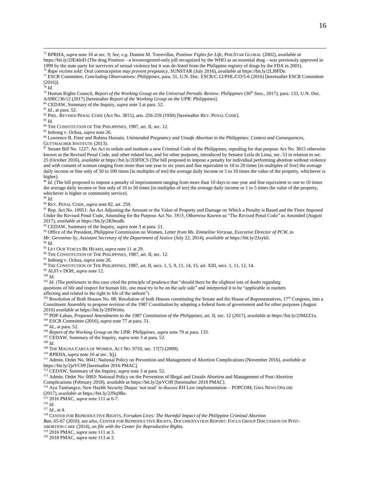<sup>75</sup> RPRHA, *supra* note 10 at sec. 9; *See, e.g.* Domini M. Torrevillas, *Postinor Fights for Life,* PHILSTAR GLOBAL (2002), *available at*

https://bit.ly/2JE4doD (The drug Postinor—a levonorgestrel-only pill recognized by the WHO as an essential drug—was previously approved in 1999 by the state party for survivors of sexual violence but it was de-listed from the Philippine registry of drugs by the FDA in 2001). <sup>76</sup> *Rape victims told: Oral contraception may prevent pregnancy,* SUNSTAR (July 2016), *available at* https://bit.ly/2LJ8FDe.

<sup>77</sup> ESCR Committee, *Concluding Observations: Philippines*, para. 51, U.N. Doc. ESCR/C.12/PHL/CO/5-6 (2016) [hereinafter ESCR Committee (2016)].

<sup>78</sup> *Id.*

 $\overline{a}$ 

<sup>79</sup> Human Rights Council, *Report of the Working Group on the Universal Periodic Review: Philippines* (36<sup>th</sup> Sess., 2017), para. 133, U.N. Doc. A/HRC/36/12 (2017) [hereinafter *Report of the Working Group on the UPR: Philippines*].

<sup>80</sup> CEDAW, Summary of the Inquiry, *supra* note 3 at para. 52.

<sup>81</sup> *Id.,* at para. 52.

<sup>82</sup> PHIL. REVISED PENAL CODE (Act No. 3815), arts. 256-259 (1930) [hereinafter REV. PENAL CODE].

<sup>83</sup> *Id.*

<sup>84</sup> THE CONSTITUTION OF THE PHILIPPINES, 1987, art. II, sec. 12.

<sup>85</sup> Imbong v. Ochoa, *supra* note 26.

<sup>86</sup> Lawrence B. Finer and Rubina Hussain, *Unintended Pregnancy and Unsafe Abortion in the Philippines: Context and Consequences,*  GUTTMACHER INSTITUTE (2013).

87 Senate Bill No. 1227: An Act to ordain and institute a new Criminal Code of the Philippines, repealing for that purpose Act No. 3815 otherwise known as the Revised Penal Code, and other related law, and for other purposes, introduced by Senator Leila de Lima, sec. 53 in relation to sec. 25 (October 2016), *available at* https://bit.ly/2l3FDCS (The bill proposed to impose a penalty for individual performing abortion without violence and with consent of woman ranging from more than one year to six years and fine equivalent to 10 to 20 times [in multiples of five] the average daily income or fine only of 50 to 100 times [in multiples of ten] the average daily income or 5 to 10 times the value of the property, whichever is higher).

 $88$  *Id.* (The bill proposed to impose a penalty of imprisonment ranging from more than 10 days to one year and fine equivalent to one to 10 times the average daily income or fine only of 10 to 50 times [in multiples of ten] the average daily income or 1 to 5 times the value of the property, whichever is higher or community service).

<sup>89</sup> *Id.*

<sup>90</sup> REV. PENAL CODE, *supra* note 82*,* art. 259.

<sup>91</sup> Rep. Act No. 10951: An Act Adjusting the Amount or the Value of Property and Damage on Which a Penalty is Based and the Fines Imposed Under the Revised Penal Code, Amending for the Purpose Act No. 3815, Otherwise Known as "The Revised Penal Code" as Amended (August 2017), *available at* https://bit.ly/2K9eudh.

<sup>92</sup> CEDAW, Summary of the Inquiry, *supra* note 3 at para. 51.

<sup>93</sup> Office of the President, Philippine Commission on Women, *Letter from Ms. Emmeline Verzosa, Executive Director of PCW, to*

*Mr. Geronimo Sy, Assistant Secretary of the Department of Justice* (July 22, 2014), *available at* https://bit.ly/2Jzykli.

<sup>94</sup> *Id.*

<sup>95</sup> LET OUR VOICES BE HEARD, *supra* note 11 at 29.

<sup>96</sup> THE CONSTITUTION OF THE PHILIPPINES, 1987, art. II, sec. 12.

<sup>97</sup> Imbong v. Ochoa, *supra* note 26.

<sup>98</sup> THE CONSTITUTION OF THE PHILIPPINES, 1987, art. II, secs. 1, 5, 9, 11, 14, 15, art. XIII, secs. 1, 11, 12, 14.

<sup>99</sup> ALFI v DOH, *supra* note 12.

<sup>100</sup> *Id.*

<sup>101</sup> *Id.* (The petitioners in this case cited the principle of prudence that "should there be the slightest iota of doubt regarding

questions of life and respect for human life, one must try to be on the safe side" and interpreted it to be "applicable in matters

affecting and related to the right to life of the unborn").

<sup>102</sup> Resolution of Both Houses No. 08: Resolution of both Houses constituting the Senate and the House of Representatives, 17<sup>th</sup> Congress, into a Constituent Assembly to propose revision of the 1987 Constitution by adopting a federal form of government and for other purposes (August 2016) *available at* https://bit.ly/2HIWnbz.

<sup>103</sup> PDP-Laban, *Proposed Amendments to the 1987 Constitution of the Philippines*, art. II, sec. 12 (2017), *available at* https://bit.ly/2JMZZ1n.

<sup>104</sup> ESCR Committee (2016), *supra* note 77 at para. 51.

<sup>105</sup> *Id.,* at para. 52.

<sup>106</sup> Report of the Working Group on the UPR: Philippines, supra note 79 at para. 133.

<sup>107</sup> CEDAW, Summary of the Inquiry, *supra* note 3 at para. 52.

<sup>108</sup> *Id.*

<sup>109</sup> THE MAGNA CARTA OF WOMEN, ACT NO. 9710, sec. 17(7) (2009).

<sup>110</sup> RPRHA, *supra* note 10 at sec. 3(j).

<sup>111</sup> Admin. Order No. 0041: National Policy on Prevention and Management of Abortion Complications (November 2016), *available at* https://bit.ly/2jeVC09 [hereinafter 2016 PMAC].

<sup>112</sup> CEDAW, Summary of the Inquiry, *supra* note 3 at para. 52.

<sup>113</sup> Admin. Order No: 0003: National Policy on the Prevention of Illegal and Unsafe Abortion and Management of Post-Abortion Complications (February 2018), *available at* <https://bit.ly/2jeVC09> [hereinafter 2018 PMAC].

<sup>114</sup> Aya Tantiangco, New Health Security Duque 'not read' to discuss RH Law implementation – POPCOM, GMA NEWS ONLINE (2017), *available at* https://bit.ly/2JNq9Be.

<sup>115</sup> 2016 PMAC, *supra* note 111 at 6-7.

<sup>116</sup> *Id.*

<sup>117</sup> *Id.*, at 4.

<sup>118</sup> CENTER FOR REPRODUCTIVE RIGHTS, *Forsaken Lives: The Harmful Impact of the Philippine Criminal Abortion* 

*Ban*, 65-67 (2010); *see also,* CENTER FOR REPRODUCTIVE RIGHTS, DOCUMENTATION REPORT: FOCUS GROUP DISCUSSION ON POST-ABORTION CARE (2014), *on file with the Center for Reproductive Rights.*

<sup>119</sup> 2016 PMAC, *supra* note 111 at 3.

<sup>120</sup> 2018 PMAC, *supra* note 113 at 2.